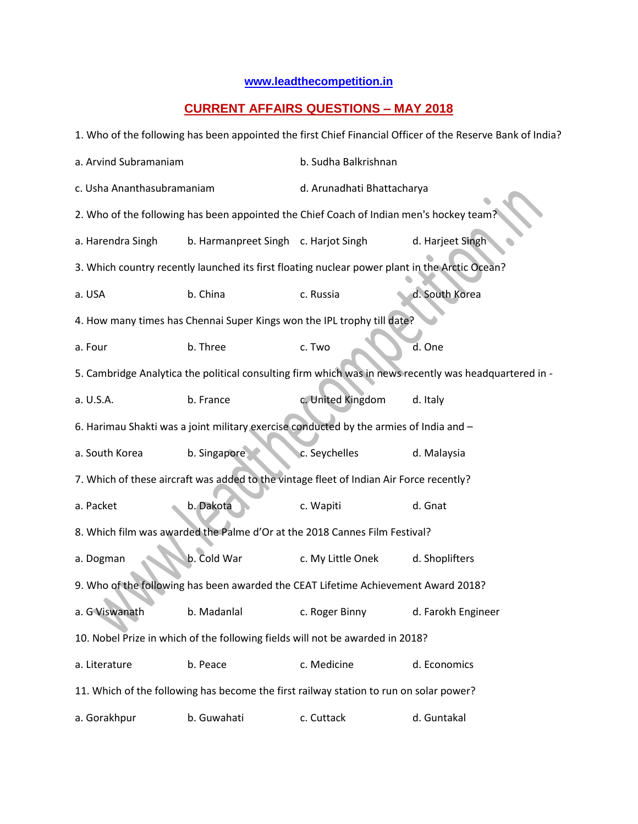## **[www.leadthecompetition.in](http://www.leadthecompetition.in/)**

## **CURRENT AFFAIRS QUESTIONS – MAY 2018**

| 1. Who of the following has been appointed the first Chief Financial Officer of the Reserve Bank of India? |                                      |                            |                    |  |  |  |
|------------------------------------------------------------------------------------------------------------|--------------------------------------|----------------------------|--------------------|--|--|--|
| a. Arvind Subramaniam                                                                                      |                                      | b. Sudha Balkrishnan       |                    |  |  |  |
| c. Usha Ananthasubramaniam                                                                                 |                                      | d. Arunadhati Bhattacharya |                    |  |  |  |
| 2. Who of the following has been appointed the Chief Coach of Indian men's hockey team?                    |                                      |                            |                    |  |  |  |
| a. Harendra Singh                                                                                          | b. Harmanpreet Singh c. Harjot Singh |                            | d. Harjeet Singh   |  |  |  |
| 3. Which country recently launched its first floating nuclear power plant in the Arctic Ocean?             |                                      |                            |                    |  |  |  |
| a. USA                                                                                                     | b. China                             | c. Russia                  | d. South Korea     |  |  |  |
| 4. How many times has Chennai Super Kings won the IPL trophy till date?                                    |                                      |                            |                    |  |  |  |
| a. Four                                                                                                    | b. Three                             | c. Two                     | d. One             |  |  |  |
| 5. Cambridge Analytica the political consulting firm which was in news recently was headquartered in -     |                                      |                            |                    |  |  |  |
| a. U.S.A.                                                                                                  | b. France                            | c. United Kingdom          | d. Italy           |  |  |  |
| 6. Harimau Shakti was a joint military exercise conducted by the armies of India and -                     |                                      |                            |                    |  |  |  |
| a. South Korea                                                                                             | b. Singapore                         | c. Seychelles              | d. Malaysia        |  |  |  |
| 7. Which of these aircraft was added to the vintage fleet of Indian Air Force recently?                    |                                      |                            |                    |  |  |  |
| a. Packet                                                                                                  | b. Dakota                            | c. Wapiti                  | d. Gnat            |  |  |  |
| 8. Which film was awarded the Palme d'Or at the 2018 Cannes Film Festival?                                 |                                      |                            |                    |  |  |  |
| a. Dogman                                                                                                  | b. Cold War                          | c. My Little Onek          | d. Shoplifters     |  |  |  |
| 9. Who of the following has been awarded the CEAT Lifetime Achievement Award 2018?                         |                                      |                            |                    |  |  |  |
| a. G Viswanath                                                                                             | b. Madanlal                          | c. Roger Binny             | d. Farokh Engineer |  |  |  |
| 10. Nobel Prize in which of the following fields will not be awarded in 2018?                              |                                      |                            |                    |  |  |  |
| a. Literature                                                                                              | b. Peace                             | c. Medicine                | d. Economics       |  |  |  |
| 11. Which of the following has become the first railway station to run on solar power?                     |                                      |                            |                    |  |  |  |
| a. Gorakhpur                                                                                               | b. Guwahati                          | c. Cuttack                 | d. Guntakal        |  |  |  |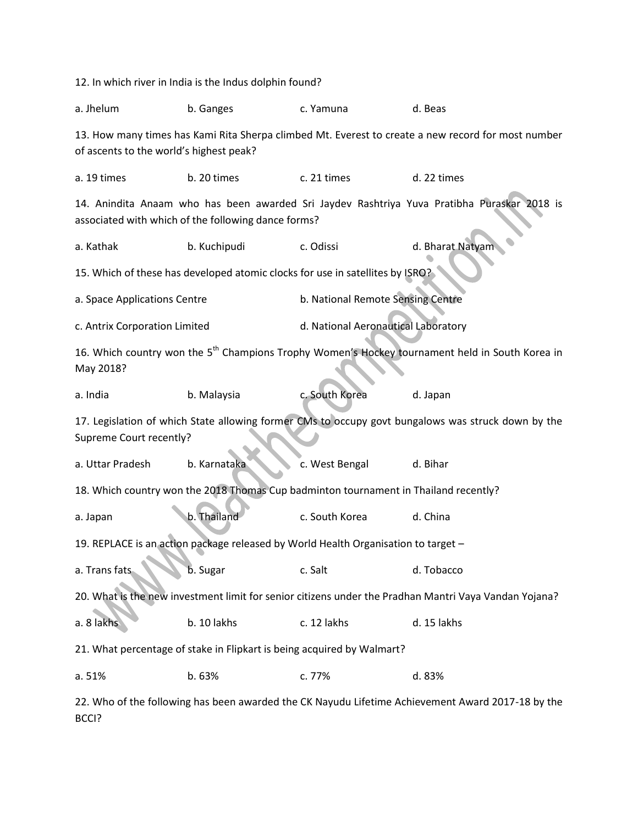|                                                                                                                                                    | 12. In which river in India is the Indus dolphin found? |                                     |                                                                                                   |  |  |  |
|----------------------------------------------------------------------------------------------------------------------------------------------------|---------------------------------------------------------|-------------------------------------|---------------------------------------------------------------------------------------------------|--|--|--|
| a. Jhelum                                                                                                                                          | b. Ganges                                               | c. Yamuna                           | d. Beas                                                                                           |  |  |  |
| 13. How many times has Kami Rita Sherpa climbed Mt. Everest to create a new record for most number<br>of ascents to the world's highest peak?      |                                                         |                                     |                                                                                                   |  |  |  |
| a. 19 times                                                                                                                                        | b. 20 times                                             | c. 21 times                         | d. 22 times                                                                                       |  |  |  |
| 14. Anindita Anaam who has been awarded Sri Jaydev Rashtriya Yuva Pratibha Puraskar 2018 is<br>associated with which of the following dance forms? |                                                         |                                     |                                                                                                   |  |  |  |
| a. Kathak                                                                                                                                          | b. Kuchipudi                                            | c. Odissi                           | d. Bharat Natyam                                                                                  |  |  |  |
| 15. Which of these has developed atomic clocks for use in satellites by ISRO?                                                                      |                                                         |                                     |                                                                                                   |  |  |  |
| a. Space Applications Centre                                                                                                                       |                                                         | b. National Remote Sensing Centre   |                                                                                                   |  |  |  |
| c. Antrix Corporation Limited                                                                                                                      |                                                         | d. National Aeronautical Laboratory |                                                                                                   |  |  |  |
| 16. Which country won the 5 <sup>th</sup> Champions Trophy Women's Hockey tournament held in South Korea in<br>May 2018?                           |                                                         |                                     |                                                                                                   |  |  |  |
| a. India                                                                                                                                           | b. Malaysia                                             | c. South Korea                      | d. Japan                                                                                          |  |  |  |
| 17. Legislation of which State allowing former CMs to occupy govt bungalows was struck down by the<br>Supreme Court recently?                      |                                                         |                                     |                                                                                                   |  |  |  |
| a. Uttar Pradesh                                                                                                                                   | b. Karnataka                                            | c. West Bengal                      | d. Bihar                                                                                          |  |  |  |
| 18. Which country won the 2018 Thomas Cup badminton tournament in Thailand recently?                                                               |                                                         |                                     |                                                                                                   |  |  |  |
| a. Japan                                                                                                                                           | b. Thailand                                             | c. South Korea                      | d. China                                                                                          |  |  |  |
| 19. REPLACE is an action package released by World Health Organisation to target -                                                                 |                                                         |                                     |                                                                                                   |  |  |  |
| a. Trans fats                                                                                                                                      | b. Sugar                                                | c. Salt                             | d. Tobacco                                                                                        |  |  |  |
| 20. What is the new investment limit for senior citizens under the Pradhan Mantri Vaya Vandan Yojana?                                              |                                                         |                                     |                                                                                                   |  |  |  |
| a. 8 lakhs                                                                                                                                         | b. 10 lakhs                                             | c. 12 lakhs                         | d. 15 lakhs                                                                                       |  |  |  |
| 21. What percentage of stake in Flipkart is being acquired by Walmart?                                                                             |                                                         |                                     |                                                                                                   |  |  |  |
| a. 51%                                                                                                                                             | b. 63%                                                  | c. 77%                              | d. 83%                                                                                            |  |  |  |
|                                                                                                                                                    |                                                         |                                     | 22. Who of the following has been awarded the CK Nayudu Lifetime Achievement Award 2017-18 by the |  |  |  |

BCCI?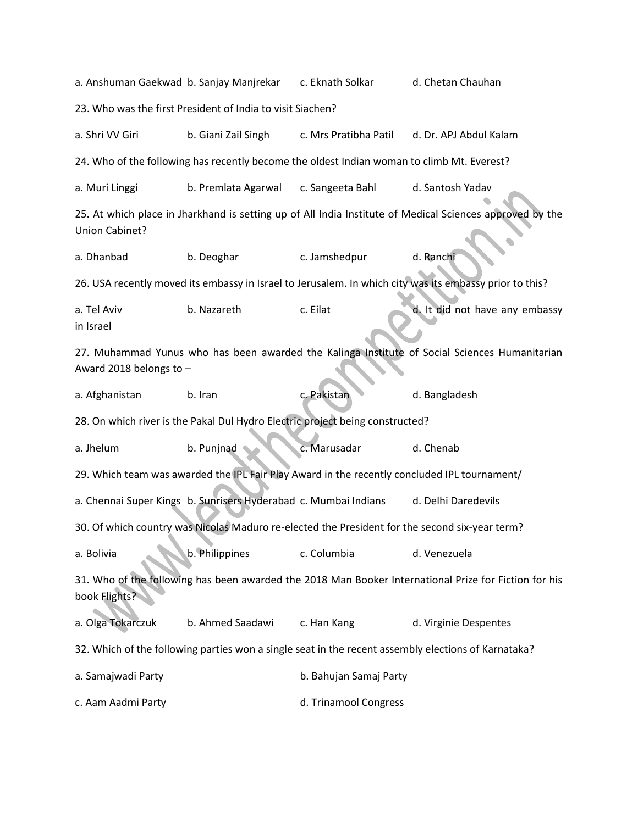a. Anshuman Gaekwad b. Sanjay Manjrekar c. Eknath Solkar d. Chetan Chauhan 23. Who was the first President of India to visit Siachen? a. Shri VV Giri b. Giani Zail Singh c. Mrs Pratibha Patil d. Dr. APJ Abdul Kalam 24. Who of the following has recently become the oldest Indian woman to climb Mt. Everest? a. Muri Linggi b. Premlata Agarwal c. Sangeeta Bahl d. Santosh Yadav 25. At which place in Jharkhand is setting up of All India Institute of Medical Sciences approved by the Union Cabinet? a. Dhanbad b. Deoghar c. Jamshedpur d. Ranchi 26. USA recently moved its embassy in Israel to Jerusalem. In which city was its embassy prior to this? a. Tel Aviv b. Nazareth c. Eilat d. It did not have any embassy in Israel 27. Muhammad Yunus who has been awarded the Kalinga Institute of Social Sciences Humanitarian Award 2018 belongs to – a. Afghanistan b. Iran c. Pakistan d. Bangladesh 28. On which river is the Pakal Dul Hydro Electric project being constructed? a. Jhelum b. Punjnad c. Marusadar d. Chenab 29. Which team was awarded the IPL Fair Play Award in the recently concluded IPL tournament/ a. Chennai Super Kings b. Sunrisers Hyderabad c. Mumbai Indians d. Delhi Daredevils 30. Of which country was Nicolas Maduro re-elected the President for the second six-year term? a. Bolivia b. Philippines c. Columbia d. Venezuela 31. Who of the following has been awarded the 2018 Man Booker International Prize for Fiction for his book Flights? a. Olga Tokarczuk b. Ahmed Saadawi c. Han Kang d. Virginie Despentes 32. Which of the following parties won a single seat in the recent assembly elections of Karnataka? a. Samajwadi Party **b. Bahujan Samaj Party** c. Aam Aadmi Party **d. Trinamool Congress**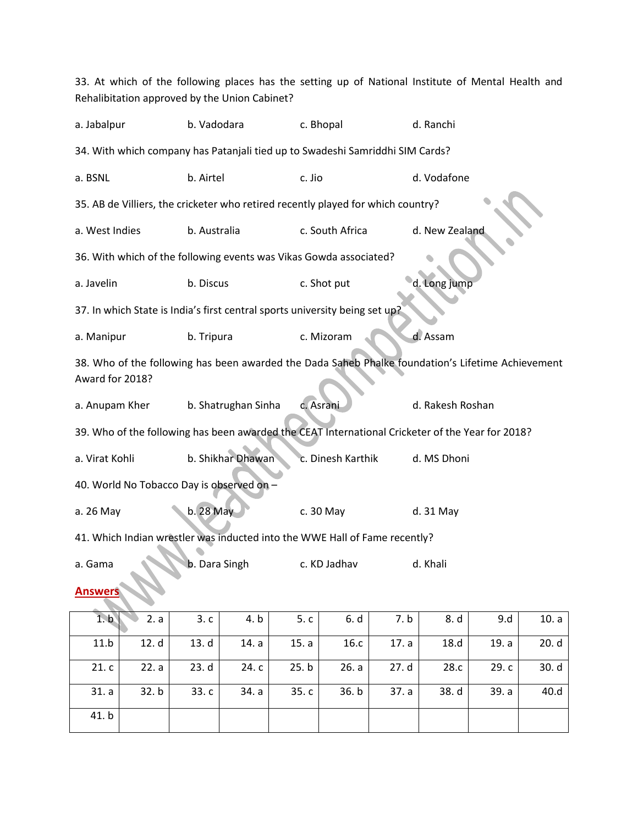33. At which of the following places has the setting up of National Institute of Mental Health and Rehalibitation approved by the Union Cabinet?

| a. Jabalpur                                                                                                          | b. Vadodara                                                                 | c. Bhopal         | d. Ranchi        |  |  |  |
|----------------------------------------------------------------------------------------------------------------------|-----------------------------------------------------------------------------|-------------------|------------------|--|--|--|
| 34. With which company has Patanjali tied up to Swadeshi Samriddhi SIM Cards?                                        |                                                                             |                   |                  |  |  |  |
| a. BSNL                                                                                                              | b. Airtel                                                                   | c. Jio            | d. Vodafone      |  |  |  |
| 35. AB de Villiers, the cricketer who retired recently played for which country?                                     |                                                                             |                   |                  |  |  |  |
| a. West Indies                                                                                                       | b. Australia                                                                | c. South Africa   | d. New Zealand   |  |  |  |
| 36. With which of the following events was Vikas Gowda associated?                                                   |                                                                             |                   |                  |  |  |  |
| a. Javelin                                                                                                           | b. Discus                                                                   | c. Shot put       | d. Long jump     |  |  |  |
|                                                                                                                      | 37. In which State is India's first central sports university being set up? |                   |                  |  |  |  |
| a. Manipur                                                                                                           | b. Tripura                                                                  | c. Mizoram        | d. Assam         |  |  |  |
| 38. Who of the following has been awarded the Dada Saheb Phalke foundation's Lifetime Achievement<br>Award for 2018? |                                                                             |                   |                  |  |  |  |
| a. Anupam Kher                                                                                                       | b. Shatrughan Sinha                                                         | c. Asrani         | d. Rakesh Roshan |  |  |  |
| 39. Who of the following has been awarded the CEAT International Cricketer of the Year for 2018?                     |                                                                             |                   |                  |  |  |  |
| a. Virat Kohli                                                                                                       | b. Shikhar Dhawan                                                           | c. Dinesh Karthik | d. MS Dhoni      |  |  |  |
| 40. World No Tobacco Day is observed on -                                                                            |                                                                             |                   |                  |  |  |  |
| a. 26 May                                                                                                            | b. 28 May                                                                   | c. 30 May         | d. 31 May        |  |  |  |
| 41. Which Indian wrestler was inducted into the WWE Hall of Fame recently?                                           |                                                                             |                   |                  |  |  |  |
| a. Gama                                                                                                              | b. Dara Singh                                                               | c. KD Jadhav      | d. Khali         |  |  |  |
| Answers                                                                                                              |                                                                             |                   |                  |  |  |  |

|       | 1. b $\vert$ 2. a $\vert$ | 3.c           | 4. b                  | 5.c           | 6. d  | 7. b          | 8. d l       | 9.d   | 10. a |
|-------|---------------------------|---------------|-----------------------|---------------|-------|---------------|--------------|-------|-------|
| 11.b  |                           | $12. d$ 13. d |                       | 14. a   15. a | 16.c  | 17. a         | 18.d         | 19. a | 20.d  |
| 21.c  | 22. a                     |               | 23. d   24. c   25. b |               |       | $26. a$ 27. d | 28.c $\vert$ | 29. c | 30. d |
| 31. a | 32. b                     | 33.c          | 34. a                 | 35. c $\vert$ | 36. b | 37. a $ $     | 38. d        | 39. a | 40.d  |
| 41. b |                           |               |                       |               |       |               |              |       |       |